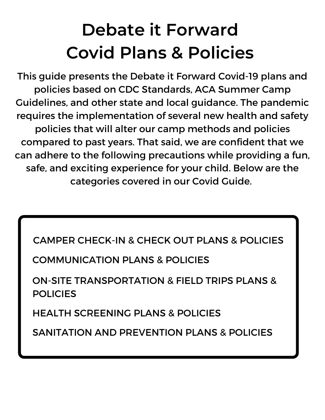### **Debate it Forward Covid Plans & Policies**

This guide presents the Debate it Forward Covid-19 plans and policies based on CDC Standards, ACA Summer Camp Guidelines, and other state and local guidance. The pandemic requires the implementation of several new health and safety policies that will alter our camp methods and policies compared to past years. That said, we are confident that we can adhere to the following precautions while providing a fun, safe, and exciting experience for your child. Below are the categories covered in our Covid Guide.

CAMPER CHECK-IN & CHECK OUT PLANS & POLICIES

COMMUNICATION PLANS & POLICIES

ON-SITE TRANSPORTATION & FIELD TRIPS PLANS & POLICIES

HEALTH SCREENING PLANS & POLICIES

SANITATION AND PREVENTION PLANS & POLICIES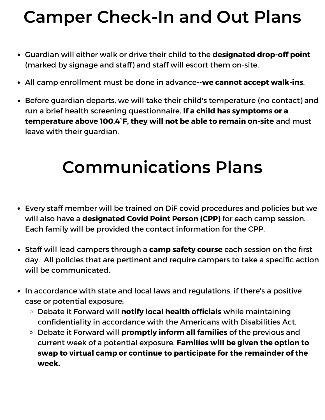#### **Camper Check-In and Out Plans**

- Guardian will either walk or drive their child to the **designated drop-off point** (marked by signage and staff) and staff will escort them on-site.
- All camp enrollment must be done in advance--**we cannot accept walk-ins**.
- Before guardian departs, we will take their child's temperature (no contact) and run a brief health screening questionnaire. **If a child has symptoms or a temperature above 100.4°F, they will not be able to remain on-site** and must leave with their guardian.

### **Communications Plans**

- Every staff member will be trained on DiF covid procedures and policies but we will also have a **designated Covid Point Person (CPP)** for each camp session. Each family will be provided the contact information for the CPP.
- Staff will lead campers through a **camp safety course** each session on the first day. All policies that are pertinent and require campers to take a specific action will be communicated.
- In accordance with state and local laws and regulations, if there's a positive case or potential exposure:
	- Debate it Forward will **notify local health officials** while maintaining confidentiality in accordance with the Americans with Disabilities Act.
	- Debate it Forward will **promptly inform all families** of the previous and current week of a potential exposure. **Families will be given the option to swap to virtual camp or continue to participate for the remainder of the week.**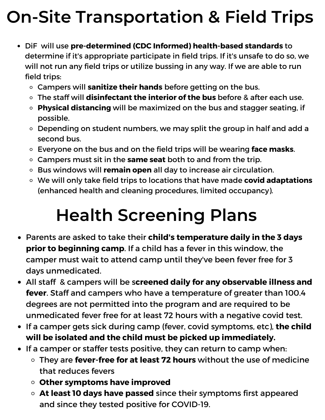# **On-Site Transportation & Field Trips**

- DiF will use **pre-determined (CDC Informed) health-based standards** to determine if it's appropriate participate in field trips. If it's unsafe to do so, we will not run any field trips or utilize bussing in any way. If we are able to run field trips:
	- Campers will **sanitize their hands** before getting on the bus.
	- The staff will **disinfectant the interior of the bus** before & after each use.
	- **Physical distancing** will be maximized on the bus and stagger seating, if possible.
	- Depending on student numbers, we may split the group in half and add a second bus.
	- Everyone on the bus and on the field trips will be wearing **face masks**.
	- Campers must sit in the **same seat** both to and from the trip.
	- Bus windows will **remain open** all day to increase air circulation.
	- We will only take field trips to locations that have made **covid adaptations** (enhanced health and cleaning procedures, limited occupancy).

### **Health Screening Plans**

- Parents are asked to take their **child's temperature daily in the 3 days prior to beginning camp**. If a child has a fever in this window, the camper must wait to attend camp until they've been fever free for 3 days unmedicated.
- All staff & campers will be s**creened daily for any observable illness and fever**. Staff and campers who have a temperature of greater than 100.4 degrees are not permitted into the program and are required to be unmedicated fever free for at least 72 hours with a negative covid test.
- If a camper gets sick during camp (fever, covid symptoms, etc), **the child will be isolated and the child must be picked up immediately.**
- If a camper or staffer tests positive, they can return to camp when:
	- They are **fever-free for at least 72 hours** without the use of medicine that reduces fevers
	- **Other symptoms have improved**
	- **At least 10 days have passed** since their symptoms first appeared and since they tested positive for COVID-19.